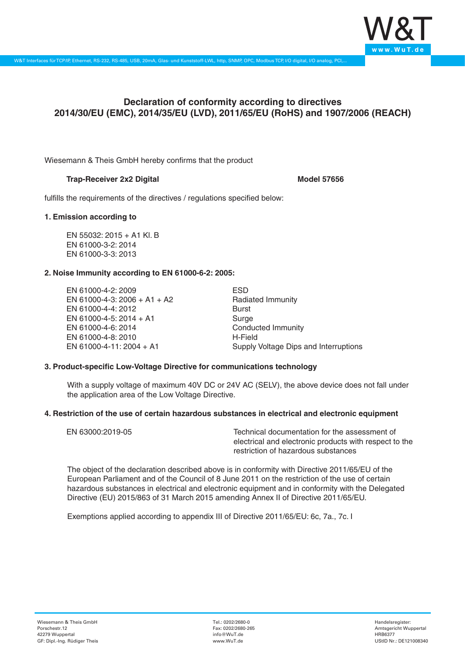

# **Declaration of conformity according to directives 2014/30/EU (EMC), 2014/35/EU (LVD), 2011/65/EU (RoHS) and 1907/2006 (REACH)**

Wiesemann & Theis GmbH hereby confirms that the product

## **Trap-Receiver 2x2 Digital** *Model* **57656**

fulfills the requirements of the directives / regulations specified below:

## **1. Emission according to**

EN 55032: 2015 + A1 Kl. B EN 61000-3-2: 2014 EN 61000-3-3: 2013

## **2. Noise Immunity according to EN 61000-6-2: 2005:**

EN 61000-4-2: 2009 EN 61000-4-3: 2006 + A1 + A2 EN 61000-4-4: 2012 EN 61000-4-5: 2014 + A1 EN 61000-4-6: 2014 EN 61000-4-8: 2010 EN 61000-4-11: 2004 + A1

ESD Radiated Immunity Burst Surge Conducted Immunity H-Field Supply Voltage Dips and Interruptions

### **3. Product-specific Low-Voltage Directive for communications technology**

With a supply voltage of maximum 40V DC or 24V AC (SELV), the above device does not fall under the application area of the Low Voltage Directive.

### **4. Restriction of the use of certain hazardous substances in electrical and electronic equipment**

| EN 63000:2019-05 | Technical documentation for the assessment of          |
|------------------|--------------------------------------------------------|
|                  | electrical and electronic products with respect to the |
|                  | restriction of hazardous substances                    |

The object of the declaration described above is in conformity with Directive 2011/65/EU of the European Parliament and of the Council of 8 June 2011 on the restriction of the use of certain hazardous substances in electrical and electronic equipment and in conformity with the Delegated Directive (EU) 2015/863 of 31 March 2015 amending Annex II of Directive 2011/65/EU.

Exemptions applied according to appendix III of Directive 2011/65/EU: 6c, 7a., 7c. I